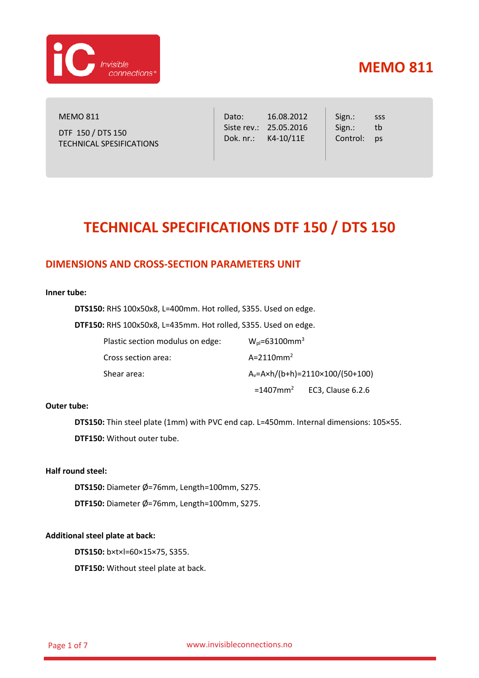

MEMO 811 DTF 150 / DTS 150 TECHNICAL SPESIFICATIONS Dato: 16.08.2012 Siste rev.: 25.05.2016 Dok. nr.: K4-10/11E

Sign.: Sign.: Control: pssss tb

# **TECHNICAL SPECIFICATIONS DTF 150 / DTS 150**

## **DIMENSIONS AND CROSS-SECTION PARAMETERS UNIT**

#### **Inner tube:**

**DTS150:** RHS 100x50x8, L=400mm. Hot rolled, S355. Used on edge.

**DTF150:** RHS 100x50x8, L=435mm. Hot rolled, S355. Used on edge.

| Plastic section modulus on edge: | $W_{pl} = 63100$ mm <sup>3</sup>             |                                           |
|----------------------------------|----------------------------------------------|-------------------------------------------|
| Cross section area:              | $A=2110$ mm <sup>2</sup>                     |                                           |
| Shear area:                      | $A_v = Axh/(b+h) = 2110 \times 100/(50+100)$ |                                           |
|                                  |                                              | $=1407$ mm <sup>2</sup> EC3, Clause 6.2.6 |

### **Outer tube:**

**DTS150:** Thin steel plate (1mm) with PVC end cap. L=450mm. Internal dimensions: 105×55. **DTF150:** Without outer tube.

### **Half round steel:**

**DTS150:** Diameter Ø=76mm, Length=100mm, S275.

**DTF150:** Diameter Ø=76mm, Length=100mm, S275.

#### **Additional steel plate at back:**

**DTS150:** b×t×l=60×15×75, S355.

**DTF150:** Without steel plate at back.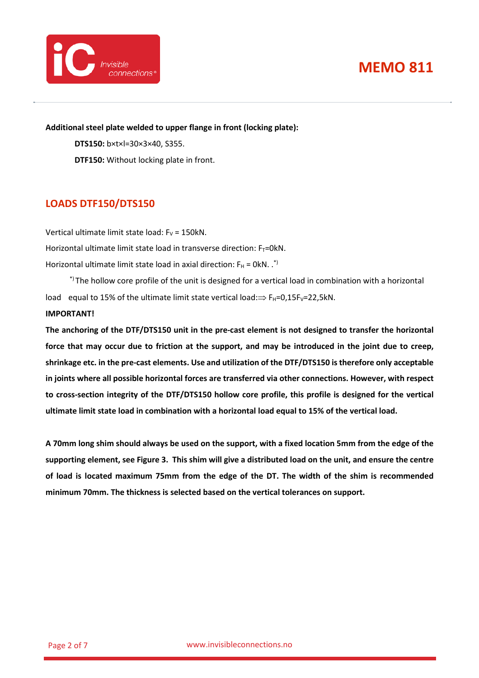

**Additional steel plate welded to upper flange in front (locking plate):**

**DTS150:** b×t×l=30×3×40, S355. **DTF150:** Without locking plate in front.

## **LOADS DTF150/DTS150**

Vertical ultimate limit state load:  $F_V = 150kN$ . Horizontal ultimate limit state load in transverse direction:  $F_T=0kN$ . Horizontal ultimate limit state load in axial direction:  $F_H = OKN$ . .<sup>\*)</sup>

\*) The hollow core profile of the unit is designed for a vertical load in combination with a horizontal load equal to 15% of the ultimate limit state vertical load: $\Rightarrow$  F<sub>H</sub>=0,15F<sub>V</sub>=22,5kN.

### **IMPORTANT!**

**The anchoring of the DTF/DTS150 unit in the pre-cast element is not designed to transfer the horizontal force that may occur due to friction at the support, and may be introduced in the joint due to creep, shrinkage etc. in the pre-cast elements. Use and utilization of the DTF/DTS150 is therefore only acceptable in joints where all possible horizontal forces are transferred via other connections. However, with respect to cross-section integrity of the DTF/DTS150 hollow core profile, this profile is designed for the vertical ultimate limit state load in combination with a horizontal load equal to 15% of the vertical load.**

**A 70mm long shim should always be used on the support, with a fixed location 5mm from the edge of the supporting element, see [Figure 3.](#page-3-0) This shim will give a distributed load on the unit, and ensure the centre of load is located maximum 75mm from the edge of the DT. The width of the shim is recommended minimum 70mm. The thickness is selected based on the vertical tolerances on support.**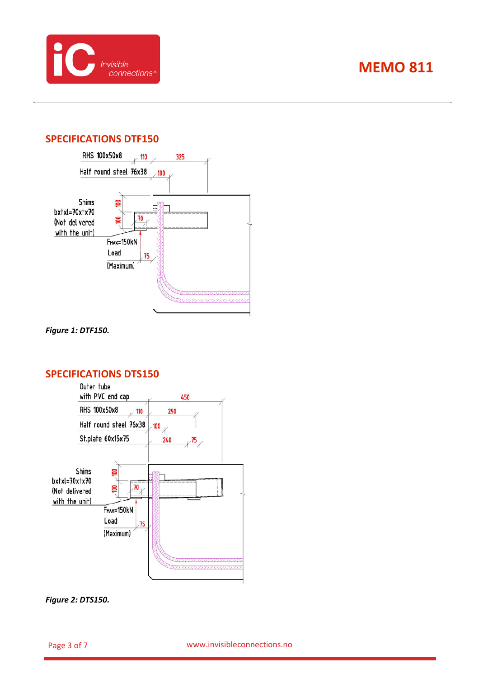

## **SPECIFICATIONS DTF150**



*Figure 1: DTF150.*

### **SPECIFICATIONS DTS150**



*Figure 2: DTS150.*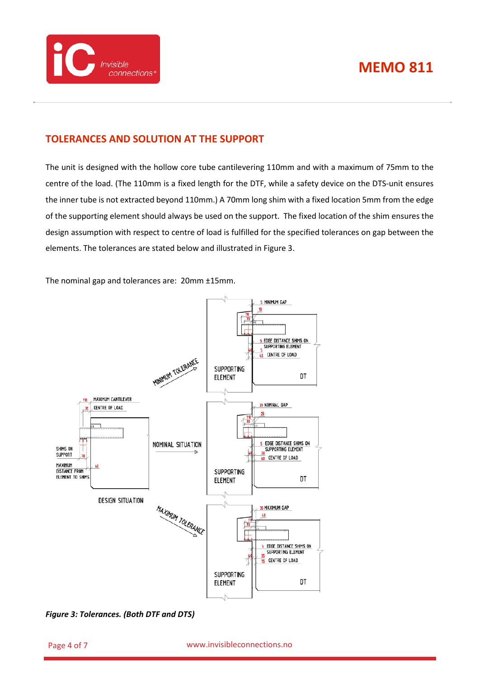



## **TOLERANCES AND SOLUTION AT THE SUPPORT**

The unit is designed with the hollow core tube cantilevering 110mm and with a maximum of 75mm to the centre of the load. (The 110mm is a fixed length for the DTF, while a safety device on the DTS-unit ensures the inner tube is not extracted beyond 110mm.) A 70mm long shim with a fixed location 5mm from the edge of the supporting element should always be used on the support. The fixed location of the shim ensures the design assumption with respect to centre of load is fulfilled for the specified tolerances on gap between the elements. The tolerances are stated below and illustrated i[n Figure 3.](#page-3-0)

The nominal gap and tolerances are: 20mm ±15mm.



<span id="page-3-0"></span>*Figure 3: Tolerances. (Both DTF and DTS)*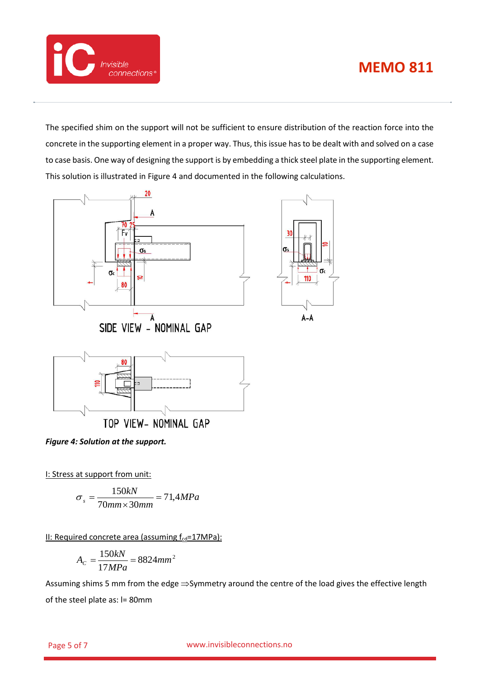



The specified shim on the support will not be sufficient to ensure distribution of the reaction force into the concrete in the supporting element in a proper way. Thus, this issue has to be dealt with and solved on a case to case basis. One way of designing the support is by embedding a thick steel plate in the supporting element. This solution is illustrated in [Figure 4](#page-4-0) and documented in the following calculations.

σs

 $\sigma$ 

110

 $A - A$ 



TOP VIEW- NOMINAL GAP

<span id="page-4-0"></span>*Figure 4: Solution at the support.*

I: Stress at support from unit:

$$
\sigma_s = \frac{150kN}{70mm \times 30mm} = 71,4MPa
$$

II: Required concrete area (assuming  $f_{\text{cd}} = 17MPa$ ):

$$
A_C = \frac{150kN}{17MPa} = 8824mm^2
$$

Assuming shims 5 mm from the edge ⇒Symmetry around the centre of the load gives the effective length of the steel plate as: l= 80mm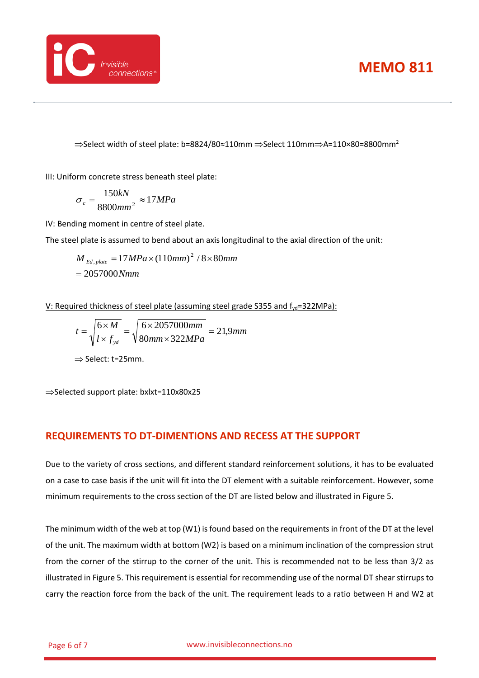



 $\Rightarrow$ Select width of steel plate: b=8824/80≈110mm  $\Rightarrow$ Select 110mm $\Rightarrow$ A=110×80=8800mm<sup>2</sup>

III: Uniform concrete stress beneath steel plate:

$$
\sigma_c = \frac{150kN}{8800mm^2} \approx 17 MPa
$$

IV: Bending moment in centre of steel plate.

The steel plate is assumed to bend about an axis longitudinal to the axial direction of the unit:

 $= 2057000 Nmm$  $M$ <sub>Ed, plate</sub>  $= 17 MPa \times (110mm)^{2}$  /  $8 \times 80mm$ 

V: Required thickness of steel plate (assuming steel grade S355 and  $f_{yd} = 322MPa$ ):

*mm mm MPa mm l f*  $t = \sqrt{\frac{6 \times M}{1 - s}}$ *yd* 21,9  $=\sqrt{\frac{6 \times M}{l \times f_{\nu d}}} = \sqrt{\frac{6 \times 2057000mm}{80mm \times 322MPa}} =$ 

⇒ Select: t=25mm.

⇒Selected support plate: bxlxt=110x80x25

## **REQUIREMENTS TO DT-DIMENTIONS AND RECESS AT THE SUPPORT**

Due to the variety of cross sections, and different standard reinforcement solutions, it has to be evaluated on a case to case basis if the unit will fit into the DT element with a suitable reinforcement. However, some minimum requirements to the cross section of the DT are listed below and illustrated in [Figure 5.](#page-6-0)

The minimum width of the web at top (W1) is found based on the requirements in front of the DT at the level of the unit. The maximum width at bottom (W2) is based on a minimum inclination of the compression strut from the corner of the stirrup to the corner of the unit. This is recommended not to be less than 3/2 as illustrated in [Figure 5.](#page-6-0) This requirement is essential for recommending use of the normal DT shear stirrups to carry the reaction force from the back of the unit. The requirement leads to a ratio between H and W2 at